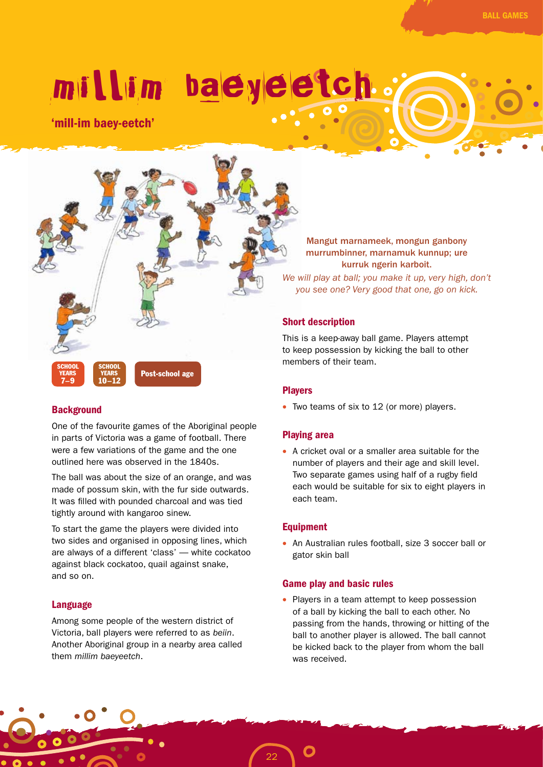# millim baeyeetch.

'mill-im baey-eetch'



# **Background**

One of the favourite games of the Aboriginal people in parts of Victoria was a game of football. There were a few variations of the game and the one outlined here was observed in the 1840s.

The ball was about the size of an orange, and was made of possum skin, with the fur side outwards. It was filled with pounded charcoal and was tied tightly around with kangaroo sinew.

To start the game the players were divided into two sides and organised in opposing lines, which are always of a different 'class' — white cockatoo against black cockatoo, quail against snake, and so on.

## Language

Among some people of the western district of Victoria, ball players were referred to as *beiin*. Another Aboriginal group in a nearby area called them *millim baeyeetch*.

Mangut marnameek, mongun ganbony murrumbinner, marnamuk kunnup; ure kurruk ngerin karboit.

*We will play at ball; you make it up, very high, don't you see one? Very good that one, go on kick.*

## Short description

This is a keep-away ball game. Players attempt to keep possession by kicking the ball to other members of their team.

## Players

• Two teams of six to 12 (or more) players.

## Playing area

• A cricket oval or a smaller area suitable for the number of players and their age and skill level. Two separate games using half of a rugby field each would be suitable for six to eight players in each team.

## **Equipment**

• An Australian rules football, size 3 soccer ball or gator skin ball

#### Game play and basic rules

• Players in a team attempt to keep possession of a ball by kicking the ball to each other. No passing from the hands, throwing or hitting of the ball to another player is allowed. The ball cannot be kicked back to the player from whom the ball was received.

22